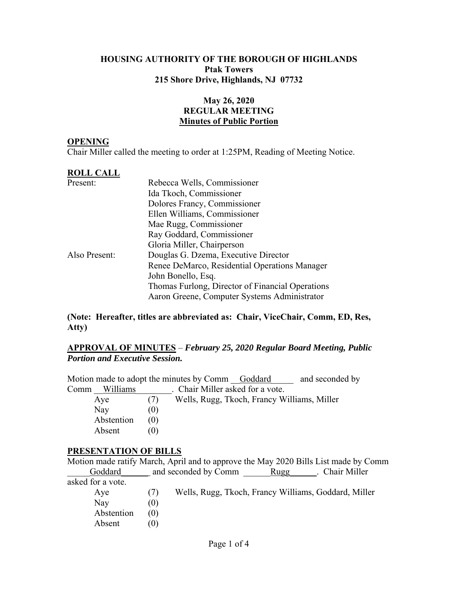### **HOUSING AUTHORITY OF THE BOROUGH OF HIGHLANDS Ptak Towers 215 Shore Drive, Highlands, NJ 07732**

## **May 26, 2020 REGULAR MEETING Minutes of Public Portion**

#### **OPENING**

Chair Miller called the meeting to order at 1:25PM, Reading of Meeting Notice.

#### **ROLL CALL**

| Present:      | Rebecca Wells, Commissioner                      |  |  |  |
|---------------|--------------------------------------------------|--|--|--|
|               | Ida Tkoch, Commissioner                          |  |  |  |
|               | Dolores Francy, Commissioner                     |  |  |  |
|               | Ellen Williams, Commissioner                     |  |  |  |
|               | Mae Rugg, Commissioner                           |  |  |  |
|               | Ray Goddard, Commissioner                        |  |  |  |
|               | Gloria Miller, Chairperson                       |  |  |  |
| Also Present: | Douglas G. Dzema, Executive Director             |  |  |  |
|               | Renee DeMarco, Residential Operations Manager    |  |  |  |
|               | John Bonello, Esq.                               |  |  |  |
|               | Thomas Furlong, Director of Financial Operations |  |  |  |
|               | Aaron Greene, Computer Systems Administrator     |  |  |  |

### **(Note: Hereafter, titles are abbreviated as: Chair, ViceChair, Comm, ED, Res, Atty)**

### **APPROVAL OF MINUTES** – *February 25, 2020 Regular Board Meeting, Public Portion and Executive Session.*

|                  | Motion made to adopt the minutes by Comm Goddard | and seconded by |
|------------------|--------------------------------------------------|-----------------|
| Williams<br>Comm | . Chair Miller asked for a vote.                 |                 |
| Aye              | Wells, Rugg, Tkoch, Francy Williams, Miller      |                 |
| Nay              |                                                  |                 |
| Abstention       |                                                  |                 |
| Absent           |                                                  |                 |

### **PRESENTATION OF BILLS**

|                   |     |                                                      |      | Motion made ratify March, April and to approve the May 2020 Bills List made by Comm |
|-------------------|-----|------------------------------------------------------|------|-------------------------------------------------------------------------------------|
| Goddard           |     | and seconded by Comm                                 | Rugg | . Chair Miller                                                                      |
| asked for a vote. |     |                                                      |      |                                                                                     |
| Aye               | (7) | Wells, Rugg, Tkoch, Francy Williams, Goddard, Miller |      |                                                                                     |
| Nay               | (0) |                                                      |      |                                                                                     |
| Abstention        | (0) |                                                      |      |                                                                                     |
| Absent            | (0) |                                                      |      |                                                                                     |
|                   |     |                                                      |      |                                                                                     |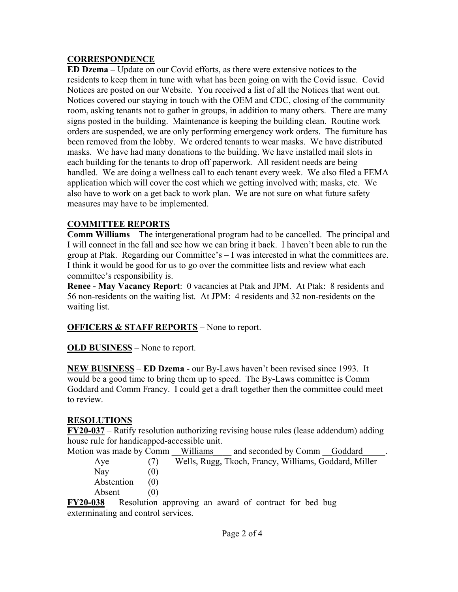# **CORRESPONDENCE**

**ED Dzema –** Update on our Covid efforts, as there were extensive notices to the residents to keep them in tune with what has been going on with the Covid issue. Covid Notices are posted on our Website. You received a list of all the Notices that went out. Notices covered our staying in touch with the OEM and CDC, closing of the community room, asking tenants not to gather in groups, in addition to many others. There are many signs posted in the building. Maintenance is keeping the building clean. Routine work orders are suspended, we are only performing emergency work orders. The furniture has been removed from the lobby. We ordered tenants to wear masks. We have distributed masks. We have had many donations to the building. We have installed mail slots in each building for the tenants to drop off paperwork. All resident needs are being handled. We are doing a wellness call to each tenant every week. We also filed a FEMA application which will cover the cost which we getting involved with; masks, etc. We also have to work on a get back to work plan. We are not sure on what future safety measures may have to be implemented.

# **COMMITTEE REPORTS**

**Comm Williams** – The intergenerational program had to be cancelled. The principal and I will connect in the fall and see how we can bring it back. I haven't been able to run the group at Ptak. Regarding our Committee's – I was interested in what the committees are. I think it would be good for us to go over the committee lists and review what each committee's responsibility is.

**Renee - May Vacancy Report**: 0 vacancies at Ptak and JPM. At Ptak: 8 residents and 56 non-residents on the waiting list. At JPM: 4 residents and 32 non-residents on the waiting list.

# **OFFICERS & STAFF REPORTS** – None to report.

**OLD BUSINESS** – None to report.

**NEW BUSINESS** – **ED Dzema** - our By-Laws haven't been revised since 1993. It would be a good time to bring them up to speed. The By-Laws committee is Comm Goddard and Comm Francy. I could get a draft together then the committee could meet to review.

# **RESOLUTIONS**

**FY20-037** – Ratify resolution authorizing revising house rules (lease addendum) adding house rule for handicapped-accessible unit.

Motion was made by Comm \_\_Williams \_\_\_\_ and seconded by Comm \_\_\_ Goddard Aye (7) Wells, Rugg, Tkoch, Francy, Williams, Goddard, Miller

Nay  $(0)$ Abstention (0) Absent (0)

**FY20-038** – Resolution approving an award of contract for bed bug exterminating and control services.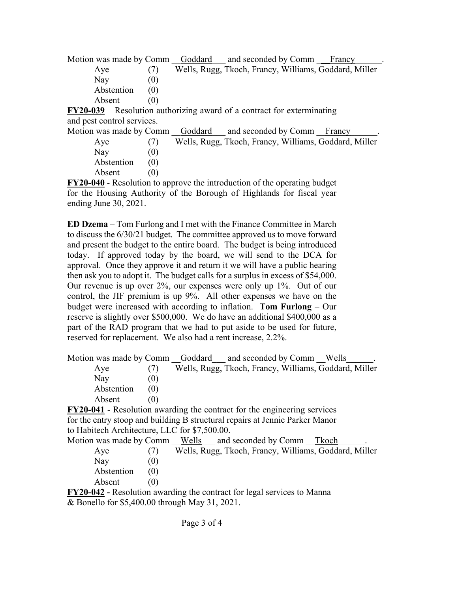Motion was made by Comm Goddard and seconded by Comm Francy Aye (7) Wells, Rugg, Tkoch, Francy, Williams, Goddard, Miller Nay  $(0)$ Abstention (0) Absent (0)

**FY20-039** – Resolution authorizing award of a contract for exterminating and pest control services.

| Motion was made by Comm Goddard and seconded by Comm Francy                                   |     |  |                                                       |
|-----------------------------------------------------------------------------------------------|-----|--|-------------------------------------------------------|
| Ave                                                                                           |     |  | Wells, Rugg, Tkoch, Francy, Williams, Goddard, Miller |
| Nay                                                                                           |     |  |                                                       |
| Abstention                                                                                    | (0) |  |                                                       |
| Absent                                                                                        |     |  |                                                       |
| $\bf{EVA}$ $\bf{0.40}$ $\bf{P}$ esclution to approve the introduction of the operating budget |     |  |                                                       |

**FY20-040** - Resolution to approve the introduction of the operating budget for the Housing Authority of the Borough of Highlands for fiscal year ending June 30, 2021.

**ED Dzema** – Tom Furlong and I met with the Finance Committee in March to discuss the 6/30/21 budget. The committee approved us to move forward and present the budget to the entire board. The budget is being introduced today. If approved today by the board, we will send to the DCA for approval. Once they approve it and return it we will have a public hearing then ask you to adopt it. The budget calls for a surplus in excess of \$54,000. Our revenue is up over 2%, our expenses were only up 1%. Out of our control, the JIF premium is up 9%. All other expenses we have on the budget were increased with according to inflation. **Tom Furlong** – Our reserve is slightly over \$500,000. We do have an additional \$400,000 as a part of the RAD program that we had to put aside to be used for future, reserved for replacement. We also had a rent increase, 2.2%.

Motion was made by Comm Goddard and seconded by Comm Wells Aye (7) Wells, Rugg, Tkoch, Francy, Williams, Goddard, Miller Nay  $(0)$ Abstention (0) Absent (0) **FY20-041** - Resolution awarding the contract for the engineering services

for the entry stoop and building B structural repairs at Jennie Parker Manor to Habitech Architecture, LLC for \$7,500.00.

| Motion was made by Comm Wells and seconded by Comm Tkoch                    |      |                                                       |  |  |
|-----------------------------------------------------------------------------|------|-------------------------------------------------------|--|--|
| Ave                                                                         |      | Wells, Rugg, Tkoch, Francy, Williams, Goddard, Miller |  |  |
| Nay                                                                         | (U)  |                                                       |  |  |
| Abstention                                                                  | (0)  |                                                       |  |  |
| Absent                                                                      | (()) |                                                       |  |  |
| $EVA0.042.$ Beachering expansion the contract for level convictor to Manual |      |                                                       |  |  |

**FY20-042 -** Resolution awarding the contract for legal services to Manna & Bonello for \$5,400.00 through May 31, 2021.